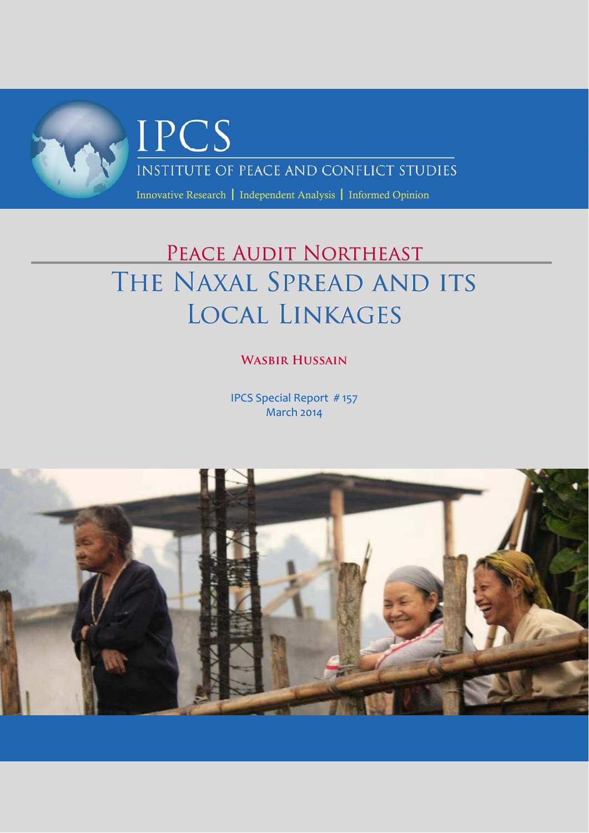

# PEACE AUDIT NORTHEAST THE NAXAL SPREAD AND ITS LOCAL LINKAGES

# **Wasbir Hussain**

IPCS Special Report # 157 March 2014

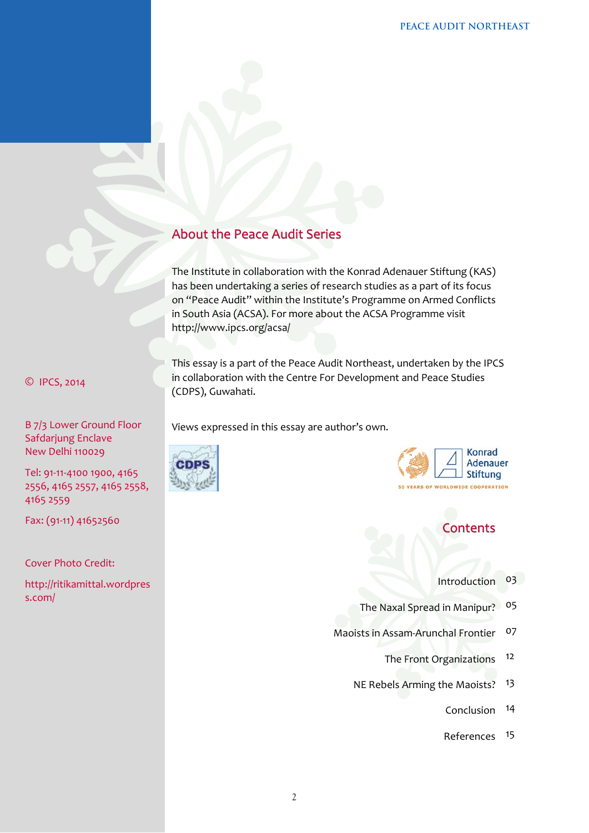# About the Peace Audit Series

The Institute in collaboration with the Konrad Adenauer Stiftung (KAS) has been undertaking a series of research studies as a part of its focus on "Peace Audit" within the Institute's Programme on Armed Conflicts in South Asia (ACSA). For more about the ACSA Programme visit http://www.ipcs.org/acsa/

This essay is a part of the Peace Audit Northeast, undertaken by the IPCS in collaboration with the Centre For Development and Peace Studies (CDPS), Guwahati.

Views expressed in this essay are author's own.





# **Contents**

- Introduction 03
- The Naxal Spread in Manipur? 05
- Maoists in Assam‐Arunchal Frontier 07
	- The Front Organizations 12
	- NE Rebels Arming the Maoists? 13
		- Conclusion 14
		- References 15

#### © IPCS, 2014

B 7/3 Lower Ground Floor Safdarjung Enclave New Delhi 110029

Tel: 91‐11‐4100 1900, 4165 2556, 4165 2557, 4165 2558, 4165 2559

Fax: (91‐11) 41652560

#### Cover Photo Credit:

http://ritikamittal.wordpres s.com/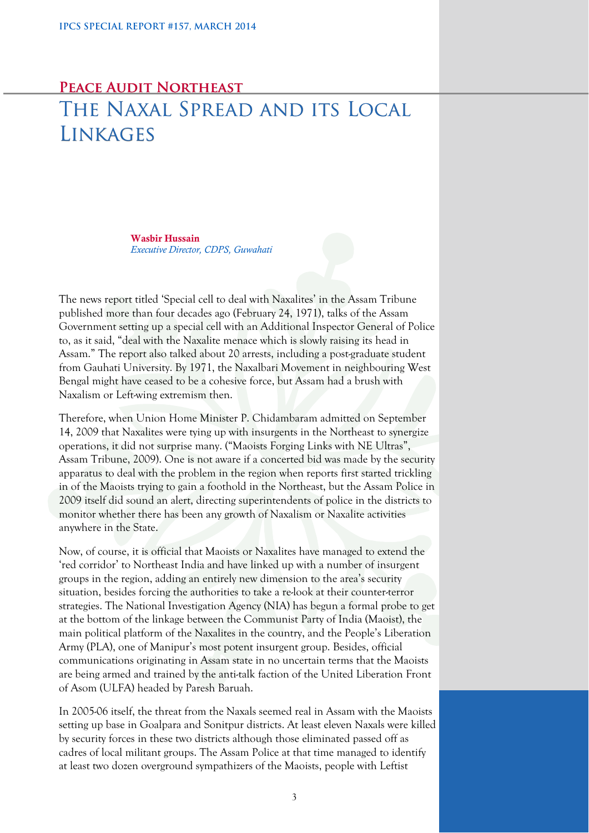# **Peace Audit Northeast** THE NAXAL SPREAD AND ITS LOCAL LINKAGES

Wasbir Hussain *Executive Director, CDPS, Guwahati* 

The news report titled 'Special cell to deal with Naxalites' in the Assam Tribune published more than four decades ago (February 24, 1971), talks of the Assam Government setting up a special cell with an Additional Inspector General of Police to, as it said, "deal with the Naxalite menace which is slowly raising its head in Assam." The report also talked about 20 arrests, including a post-graduate student from Gauhati University. By 1971, the Naxalbari Movement in neighbouring West Bengal might have ceased to be a cohesive force, but Assam had a brush with Naxalism or Left-wing extremism then.

Therefore, when Union Home Minister P. Chidambaram admitted on September 14, 2009 that Naxalites were tying up with insurgents in the Northeast to synergize operations, it did not surprise many. ("Maoists Forging Links with NE Ultras", Assam Tribune, 2009). One is not aware if a concerted bid was made by the security apparatus to deal with the problem in the region when reports first started trickling in of the Maoists trying to gain a foothold in the Northeast, but the Assam Police in 2009 itself did sound an alert, directing superintendents of police in the districts to monitor whether there has been any growth of Naxalism or Naxalite activities anywhere in the State.

Now, of course, it is official that Maoists or Naxalites have managed to extend the 'red corridor' to Northeast India and have linked up with a number of insurgent groups in the region, adding an entirely new dimension to the area's security situation, besides forcing the authorities to take a re-look at their counter-terror strategies. The National Investigation Agency (NIA) has begun a formal probe to get at the bottom of the linkage between the Communist Party of India (Maoist), the main political platform of the Naxalites in the country, and the People's Liberation Army (PLA), one of Manipur's most potent insurgent group. Besides, official communications originating in Assam state in no uncertain terms that the Maoists are being armed and trained by the anti-talk faction of the United Liberation Front of Asom (ULFA) headed by Paresh Baruah.

In 2005-06 itself, the threat from the Naxals seemed real in Assam with the Maoists setting up base in Goalpara and Sonitpur districts. At least eleven Naxals were killed by security forces in these two districts although those eliminated passed off as cadres of local militant groups. The Assam Police at that time managed to identify at least two dozen overground sympathizers of the Maoists, people with Leftist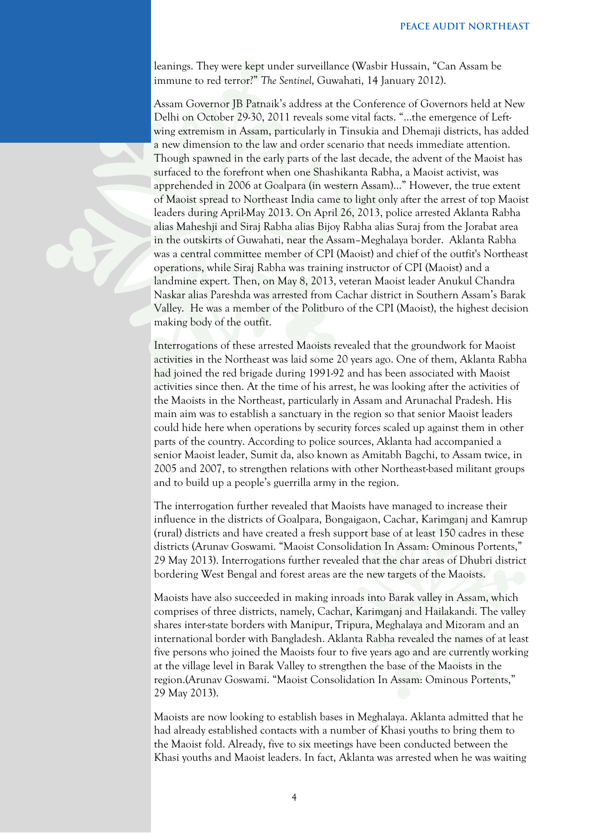leanings. They were kept under surveillance (Wasbir Hussain, "Can Assam be immune to red terror?" *The Sentinel*, Guwahati, 14 January 2012).

Assam Governor JB Patnaik's address at the Conference of Governors held at New Delhi on October 29-30, 2011 reveals some vital facts. "…the emergence of Leftwing extremism in Assam, particularly in Tinsukia and Dhemaji districts, has added a new dimension to the law and order scenario that needs immediate attention. Though spawned in the early parts of the last decade, the advent of the Maoist has surfaced to the forefront when one Shashikanta Rabha, a Maoist activist, was apprehended in 2006 at Goalpara (in western Assam)…" However, the true extent of Maoist spread to Northeast India came to light only after the arrest of top Maoist leaders during April-May 2013. On April 26, 2013, police arrested Aklanta Rabha alias Maheshji and Siraj Rabha alias Bijoy Rabha alias Suraj from the Jorabat area in the outskirts of Guwahati, near the Assam–Meghalaya border. Aklanta Rabha was a central committee member of CPI (Maoist) and chief of the outfit's Northeast operations, while Siraj Rabha was training instructor of CPI (Maoist) and a landmine expert. Then, on May 8, 2013, veteran Maoist leader Anukul Chandra Naskar alias Pareshda was arrested from Cachar district in Southern Assam's Barak Valley. He was a member of the Politburo of the CPI (Maoist), the highest decision making body of the outfit.

Interrogations of these arrested Maoists revealed that the groundwork for Maoist activities in the Northeast was laid some 20 years ago. One of them, Aklanta Rabha had joined the red brigade during 1991-92 and has been associated with Maoist activities since then. At the time of his arrest, he was looking after the activities of the Maoists in the Northeast, particularly in Assam and Arunachal Pradesh. His main aim was to establish a sanctuary in the region so that senior Maoist leaders could hide here when operations by security forces scaled up against them in other parts of the country. According to police sources, Aklanta had accompanied a senior Maoist leader, Sumit da, also known as Amitabh Bagchi, to Assam twice, in 2005 and 2007, to strengthen relations with other Northeast-based militant groups and to build up a people's guerrilla army in the region.

The interrogation further revealed that Maoists have managed to increase their influence in the districts of Goalpara, Bongaigaon, Cachar, Karimganj and Kamrup (rural) districts and have created a fresh support base of at least 150 cadres in these districts (Arunav Goswami. "Maoist Consolidation In Assam: Ominous Portents," 29 May 2013). Interrogations further revealed that the char areas of Dhubri district bordering West Bengal and forest areas are the new targets of the Maoists.

Maoists have also succeeded in making inroads into Barak valley in Assam, which comprises of three districts, namely, Cachar, Karimganj and Hailakandi. The valley shares inter-state borders with Manipur, Tripura, Meghalaya and Mizoram and an international border with Bangladesh. Aklanta Rabha revealed the names of at least five persons who joined the Maoists four to five years ago and are currently working at the village level in Barak Valley to strengthen the base of the Maoists in the region.(Arunav Goswami. "Maoist Consolidation In Assam: Ominous Portents," 29 May 2013).

Maoists are now looking to establish bases in Meghalaya. Aklanta admitted that he had already established contacts with a number of Khasi youths to bring them to the Maoist fold. Already, five to six meetings have been conducted between the Khasi youths and Maoist leaders. In fact, Aklanta was arrested when he was waiting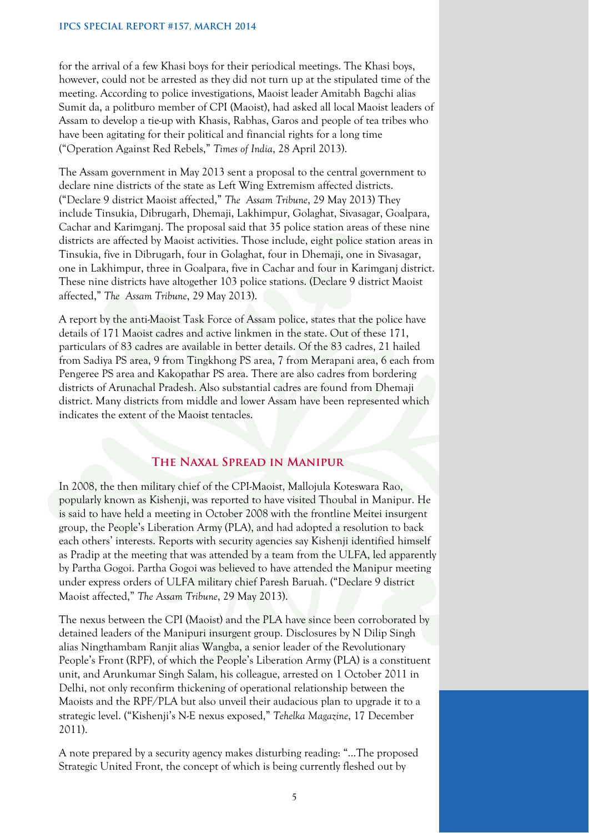#### **IPCS SPECIAL REPORT #157, MARCH 2014**

for the arrival of a few Khasi boys for their periodical meetings. The Khasi boys, however, could not be arrested as they did not turn up at the stipulated time of the meeting. According to police investigations, Maoist leader Amitabh Bagchi alias Sumit da, a politburo member of CPI (Maoist), had asked all local Maoist leaders of Assam to develop a tie-up with Khasis, Rabhas, Garos and people of tea tribes who have been agitating for their political and financial rights for a long time ("Operation Against Red Rebels," *Times of India*, 28 April 2013).

The Assam government in May 2013 sent a proposal to the central government to declare nine districts of the state as Left Wing Extremism affected districts. ("Declare 9 district Maoist affected," *The Assam Tribune*, 29 May 2013) They include Tinsukia, Dibrugarh, Dhemaji, Lakhimpur, Golaghat, Sivasagar, Goalpara, Cachar and Karimganj. The proposal said that 35 police station areas of these nine districts are affected by Maoist activities. Those include, eight police station areas in Tinsukia, five in Dibrugarh, four in Golaghat, four in Dhemaji, one in Sivasagar, one in Lakhimpur, three in Goalpara, five in Cachar and four in Karimganj district. These nine districts have altogether 103 police stations. (Declare 9 district Maoist affected," *The Assam Tribune*, 29 May 2013).

A report by the anti-Maoist Task Force of Assam police, states that the police have details of 171 Maoist cadres and active linkmen in the state. Out of these 171, particulars of 83 cadres are available in better details. Of the 83 cadres, 21 hailed from Sadiya PS area, 9 from Tingkhong PS area, 7 from Merapani area, 6 each from Pengeree PS area and Kakopathar PS area. There are also cadres from bordering districts of Arunachal Pradesh. Also substantial cadres are found from Dhemaji district. Many districts from middle and lower Assam have been represented which indicates the extent of the Maoist tentacles.

## **The Naxal Spread in Manipur**

In 2008, the then military chief of the CPI-Maoist, Mallojula Koteswara Rao, popularly known as Kishenji, was reported to have visited Thoubal in Manipur. He is said to have held a meeting in October 2008 with the frontline Meitei insurgent group, the People's Liberation Army (PLA), and had adopted a resolution to back each others' interests. Reports with security agencies say Kishenji identified himself as Pradip at the meeting that was attended by a team from the ULFA, led apparently by Partha Gogoi. Partha Gogoi was believed to have attended the Manipur meeting under express orders of ULFA military chief Paresh Baruah. ("Declare 9 district Maoist affected," *The Assam Tribune*, 29 May 2013).

The nexus between the CPI (Maoist) and the PLA have since been corroborated by detained leaders of the Manipuri insurgent group. Disclosures by N Dilip Singh alias Ningthambam Ranjit alias Wangba, a senior leader of the Revolutionary People's Front (RPF), of which the People's Liberation Army (PLA) is a constituent unit, and Arunkumar Singh Salam, his colleague, arrested on 1 October 2011 in Delhi, not only reconfirm thickening of operational relationship between the Maoists and the RPF/PLA but also unveil their audacious plan to upgrade it to a strategic level. ("Kishenji's N-E nexus exposed," *Tehelka Magazine*, 17 December 2011).

A note prepared by a security agency makes disturbing reading: "…The proposed Strategic United Front, the concept of which is being currently fleshed out by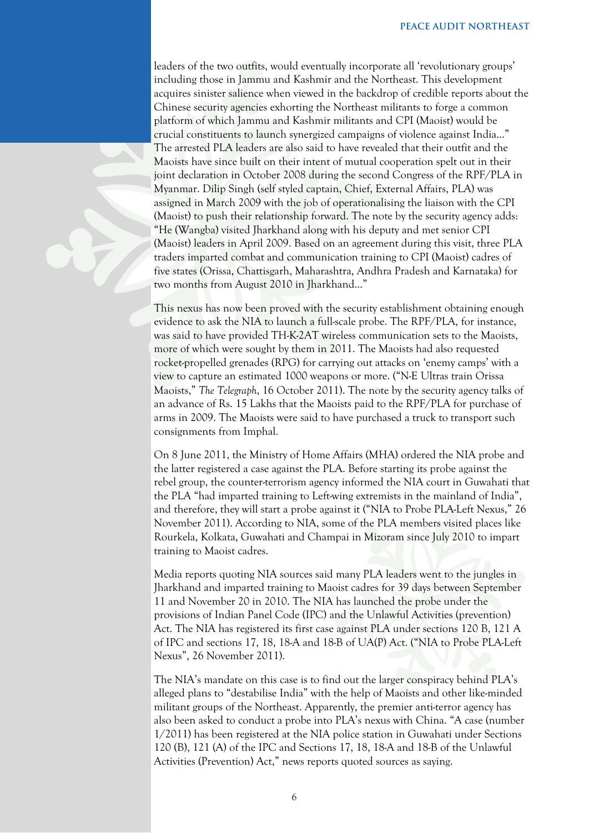leaders of the two outfits, would eventually incorporate all 'revolutionary groups' including those in Jammu and Kashmir and the Northeast. This development acquires sinister salience when viewed in the backdrop of credible reports about the Chinese security agencies exhorting the Northeast militants to forge a common platform of which Jammu and Kashmir militants and CPI (Maoist) would be crucial constituents to launch synergized campaigns of violence against India…" The arrested PLA leaders are also said to have revealed that their outfit and the Maoists have since built on their intent of mutual cooperation spelt out in their joint declaration in October 2008 during the second Congress of the RPF/PLA in Myanmar. Dilip Singh (self styled captain, Chief, External Affairs, PLA) was assigned in March 2009 with the job of operationalising the liaison with the CPI (Maoist) to push their relationship forward. The note by the security agency adds: "He (Wangba) visited Jharkhand along with his deputy and met senior CPI (Maoist) leaders in April 2009. Based on an agreement during this visit, three PLA traders imparted combat and communication training to CPI (Maoist) cadres of five states (Orissa, Chattisgarh, Maharashtra, Andhra Pradesh and Karnataka) for two months from August 2010 in Jharkhand..."

This nexus has now been proved with the security establishment obtaining enough evidence to ask the NIA to launch a full-scale probe. The RPF/PLA, for instance, was said to have provided TH-K-2AT wireless communication sets to the Maoists, more of which were sought by them in 2011. The Maoists had also requested rocket-propelled grenades (RPG) for carrying out attacks on 'enemy camps' with a view to capture an estimated 1000 weapons or more. ("N-E Ultras train Orissa Maoists," *The Telegraph*, 16 October 2011). The note by the security agency talks of an advance of Rs. 15 Lakhs that the Maoists paid to the RPF/PLA for purchase of arms in 2009. The Maoists were said to have purchased a truck to transport such consignments from Imphal.

On 8 June 2011, the Ministry of Home Affairs (MHA) ordered the NIA probe and the latter registered a case against the PLA. Before starting its probe against the rebel group, the counter-terrorism agency informed the NIA court in Guwahati that the PLA "had imparted training to Left-wing extremists in the mainland of India", and therefore, they will start a probe against it ("NIA to Probe PLA-Left Nexus," 26 November 2011). According to NIA, some of the PLA members visited places like Rourkela, Kolkata, Guwahati and Champai in Mizoram since July 2010 to impart training to Maoist cadres.

Media reports quoting NIA sources said many PLA leaders went to the jungles in Jharkhand and imparted training to Maoist cadres for 39 days between September 11 and November 20 in 2010. The NIA has launched the probe under the provisions of Indian Panel Code (IPC) and the Unlawful Activities (prevention) Act. The NIA has registered its first case against PLA under sections 120 B, 121 A of IPC and sections 17, 18, 18-A and 18-B of UA(P) Act. ("NIA to Probe PLA-Left Nexus", 26 November 2011).

The NIA's mandate on this case is to find out the larger conspiracy behind PLA's alleged plans to "destabilise India" with the help of Maoists and other like-minded militant groups of the Northeast. Apparently, the premier anti-terror agency has also been asked to conduct a probe into PLA's nexus with China. "A case (number 1/2011) has been registered at the NIA police station in Guwahati under Sections 120 (B), 121 (A) of the IPC and Sections 17, 18, 18-A and 18-B of the Unlawful Activities (Prevention) Act," news reports quoted sources as saying.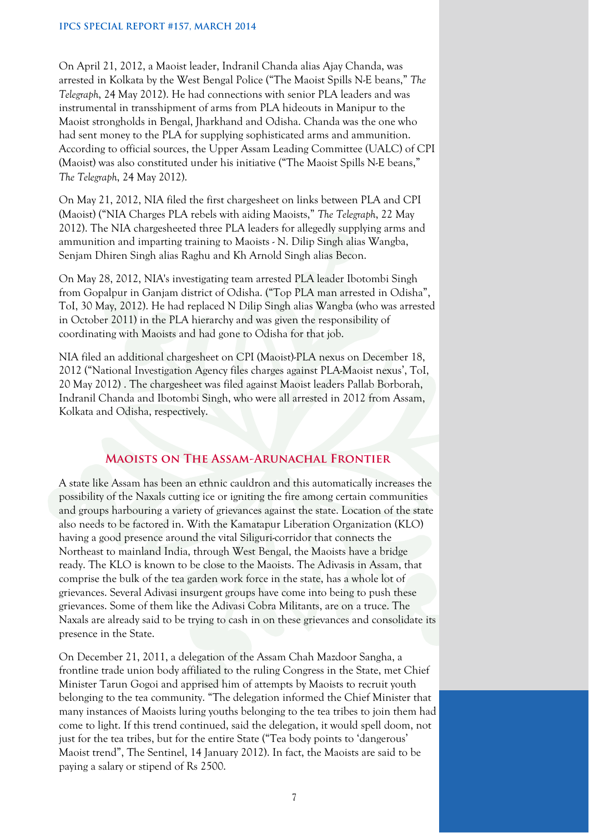On April 21, 2012, a Maoist leader, Indranil Chanda alias Ajay Chanda, was arrested in Kolkata by the West Bengal Police ("The Maoist Spills N-E beans," *The Telegraph*, 24 May 2012). He had connections with senior PLA leaders and was instrumental in transshipment of arms from PLA hideouts in Manipur to the Maoist strongholds in Bengal, Jharkhand and Odisha. Chanda was the one who had sent money to the PLA for supplying sophisticated arms and ammunition. According to official sources, the Upper Assam Leading Committee (UALC) of CPI (Maoist) was also constituted under his initiative ("The Maoist Spills N-E beans," *The Telegraph*, 24 May 2012).

On May 21, 2012, NIA filed the first chargesheet on links between PLA and CPI (Maoist) ("NIA Charges PLA rebels with aiding Maoists," *The Telegraph*, 22 May 2012). The NIA chargesheeted three PLA leaders for allegedly supplying arms and ammunition and imparting training to Maoists - N. Dilip Singh alias Wangba, Senjam Dhiren Singh alias Raghu and Kh Arnold Singh alias Becon.

On May 28, 2012, NIA's investigating team arrested PLA leader Ibotombi Singh from Gopalpur in Ganjam district of Odisha. ("Top PLA man arrested in Odisha", ToI, 30 May, 2012). He had replaced N Dilip Singh alias Wangba (who was arrested in October 2011) in the PLA hierarchy and was given the responsibility of coordinating with Maoists and had gone to Odisha for that job.

NIA filed an additional chargesheet on CPI (Maoist)-PLA nexus on December 18, 2012 ("National Investigation Agency files charges against PLA-Maoist nexus', ToI, 20 May 2012) . The chargesheet was filed against Maoist leaders Pallab Borborah, Indranil Chanda and Ibotombi Singh, who were all arrested in 2012 from Assam, Kolkata and Odisha, respectively.

#### **Maoists on The Assam-Arunachal Frontier**

A state like Assam has been an ethnic cauldron and this automatically increases the possibility of the Naxals cutting ice or igniting the fire among certain communities and groups harbouring a variety of grievances against the state. Location of the state also needs to be factored in. With the Kamatapur Liberation Organization (KLO) having a good presence around the vital Siliguri-corridor that connects the Northeast to mainland India, through West Bengal, the Maoists have a bridge ready. The KLO is known to be close to the Maoists. The Adivasis in Assam, that comprise the bulk of the tea garden work force in the state, has a whole lot of grievances. Several Adivasi insurgent groups have come into being to push these grievances. Some of them like the Adivasi Cobra Militants, are on a truce. The Naxals are already said to be trying to cash in on these grievances and consolidate its presence in the State.

On December 21, 2011, a delegation of the Assam Chah Mazdoor Sangha, a frontline trade union body affiliated to the ruling Congress in the State, met Chief Minister Tarun Gogoi and apprised him of attempts by Maoists to recruit youth belonging to the tea community. "The delegation informed the Chief Minister that many instances of Maoists luring youths belonging to the tea tribes to join them had come to light. If this trend continued, said the delegation, it would spell doom, not just for the tea tribes, but for the entire State ("Tea body points to 'dangerous' Maoist trend", The Sentinel, 14 January 2012). In fact, the Maoists are said to be paying a salary or stipend of Rs 2500.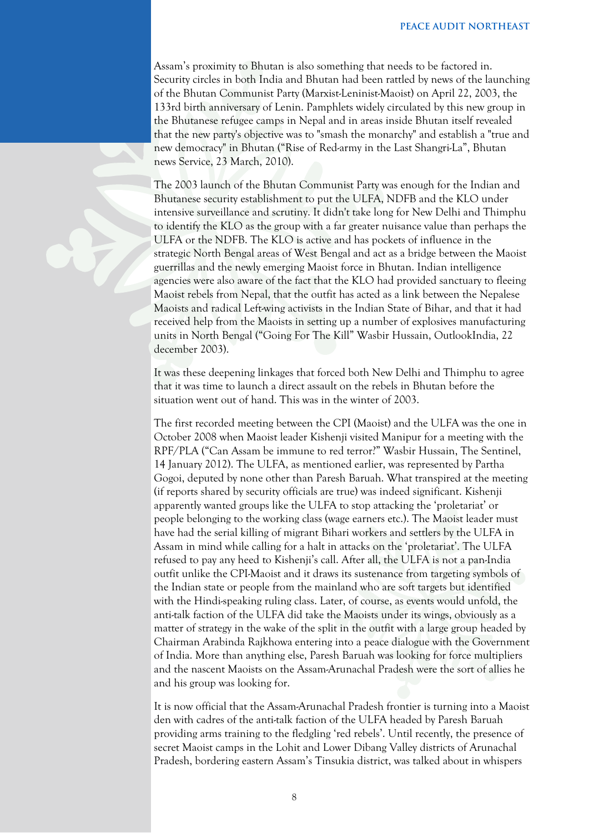Assam's proximity to Bhutan is also something that needs to be factored in. Security circles in both India and Bhutan had been rattled by news of the launching of the Bhutan Communist Party (Marxist-Leninist-Maoist) on April 22, 2003, the 133rd birth anniversary of Lenin. Pamphlets widely circulated by this new group in the Bhutanese refugee camps in Nepal and in areas inside Bhutan itself revealed that the new party's objective was to "smash the monarchy" and establish a "true and new democracy" in Bhutan ("Rise of Red-army in the Last Shangri-La", Bhutan news Service, 23 March, 2010).

The 2003 launch of the Bhutan Communist Party was enough for the Indian and Bhutanese security establishment to put the ULFA, NDFB and the KLO under intensive surveillance and scrutiny. It didn't take long for New Delhi and Thimphu to identify the KLO as the group with a far greater nuisance value than perhaps the ULFA or the NDFB. The KLO is active and has pockets of influence in the strategic North Bengal areas of West Bengal and act as a bridge between the Maoist guerrillas and the newly emerging Maoist force in Bhutan. Indian intelligence agencies were also aware of the fact that the KLO had provided sanctuary to fleeing Maoist rebels from Nepal, that the outfit has acted as a link between the Nepalese Maoists and radical Left-wing activists in the Indian State of Bihar, and that it had received help from the Maoists in setting up a number of explosives manufacturing units in North Bengal ("Going For The Kill" Wasbir Hussain, OutlookIndia, 22 december 2003).

It was these deepening linkages that forced both New Delhi and Thimphu to agree that it was time to launch a direct assault on the rebels in Bhutan before the situation went out of hand. This was in the winter of 2003.

The first recorded meeting between the CPI (Maoist) and the ULFA was the one in October 2008 when Maoist leader Kishenji visited Manipur for a meeting with the RPF/PLA ("Can Assam be immune to red terror?" Wasbir Hussain, The Sentinel, 14 January 2012). The ULFA, as mentioned earlier, was represented by Partha Gogoi, deputed by none other than Paresh Baruah. What transpired at the meeting (if reports shared by security officials are true) was indeed significant. Kishenji apparently wanted groups like the ULFA to stop attacking the 'proletariat' or people belonging to the working class (wage earners etc.). The Maoist leader must have had the serial killing of migrant Bihari workers and settlers by the ULFA in Assam in mind while calling for a halt in attacks on the 'proletariat'. The ULFA refused to pay any heed to Kishenji's call. After all, the ULFA is not a pan-India outfit unlike the CPI-Maoist and it draws its sustenance from targeting symbols of the Indian state or people from the mainland who are soft targets but identified with the Hindi-speaking ruling class. Later, of course, as events would unfold, the anti-talk faction of the ULFA did take the Maoists under its wings, obviously as a matter of strategy in the wake of the split in the outfit with a large group headed by Chairman Arabinda Rajkhowa entering into a peace dialogue with the Government of India. More than anything else, Paresh Baruah was looking for force multipliers and the nascent Maoists on the Assam-Arunachal Pradesh were the sort of allies he and his group was looking for.

It is now official that the Assam-Arunachal Pradesh frontier is turning into a Maoist den with cadres of the anti-talk faction of the ULFA headed by Paresh Baruah providing arms training to the fledgling 'red rebels'. Until recently, the presence of secret Maoist camps in the Lohit and Lower Dibang Valley districts of Arunachal Pradesh, bordering eastern Assam's Tinsukia district, was talked about in whispers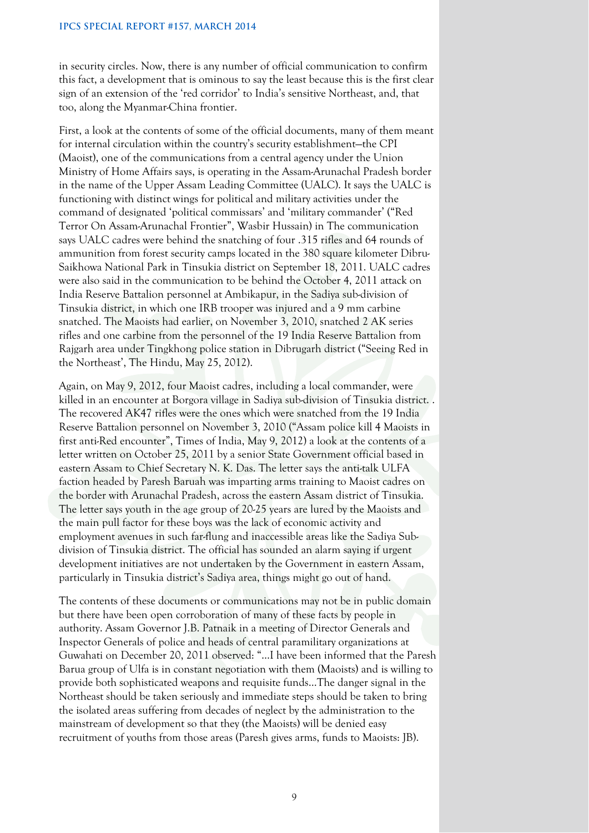in security circles. Now, there is any number of official communication to confirm this fact, a development that is ominous to say the least because this is the first clear sign of an extension of the 'red corridor' to India's sensitive Northeast, and, that too, along the Myanmar-China frontier.

First, a look at the contents of some of the official documents, many of them meant for internal circulation within the country's security establishment—the CPI (Maoist), one of the communications from a central agency under the Union Ministry of Home Affairs says, is operating in the Assam-Arunachal Pradesh border in the name of the Upper Assam Leading Committee (UALC). It says the UALC is functioning with distinct wings for political and military activities under the command of designated 'political commissars' and 'military commander' ("Red Terror On Assam-Arunachal Frontier", Wasbir Hussain) in The communication says UALC cadres were behind the snatching of four .315 rifles and 64 rounds of ammunition from forest security camps located in the 380 square kilometer Dibru-Saikhowa National Park in Tinsukia district on September 18, 2011. UALC cadres were also said in the communication to be behind the October 4, 2011 attack on India Reserve Battalion personnel at Ambikapur, in the Sadiya sub-division of Tinsukia district, in which one IRB trooper was injured and a 9 mm carbine snatched. The Maoists had earlier, on November 3, 2010, snatched 2 AK series rifles and one carbine from the personnel of the 19 India Reserve Battalion from Rajgarh area under Tingkhong police station in Dibrugarh district ("Seeing Red in the Northeast', The Hindu, May 25, 2012).

Again, on May 9, 2012, four Maoist cadres, including a local commander, were killed in an encounter at Borgora village in Sadiya sub-division of Tinsukia district. . The recovered AK47 rifles were the ones which were snatched from the 19 India Reserve Battalion personnel on November 3, 2010 ("Assam police kill 4 Maoists in first anti-Red encounter", Times of India, May 9, 2012) a look at the contents of a letter written on October 25, 2011 by a senior State Government official based in eastern Assam to Chief Secretary N. K. Das. The letter says the anti-talk ULFA faction headed by Paresh Baruah was imparting arms training to Maoist cadres on the border with Arunachal Pradesh, across the eastern Assam district of Tinsukia. The letter says youth in the age group of 20-25 years are lured by the Maoists and the main pull factor for these boys was the lack of economic activity and employment avenues in such far-flung and inaccessible areas like the Sadiya Subdivision of Tinsukia district. The official has sounded an alarm saying if urgent development initiatives are not undertaken by the Government in eastern Assam, particularly in Tinsukia district's Sadiya area, things might go out of hand.

The contents of these documents or communications may not be in public domain but there have been open corroboration of many of these facts by people in authority. Assam Governor J.B. Patnaik in a meeting of Director Generals and Inspector Generals of police and heads of central paramilitary organizations at Guwahati on December 20, 2011 observed: "…I have been informed that the Paresh Barua group of Ulfa is in constant negotiation with them (Maoists) and is willing to provide both sophisticated weapons and requisite funds…The danger signal in the Northeast should be taken seriously and immediate steps should be taken to bring the isolated areas suffering from decades of neglect by the administration to the mainstream of development so that they (the Maoists) will be denied easy recruitment of youths from those areas (Paresh gives arms, funds to Maoists: JB).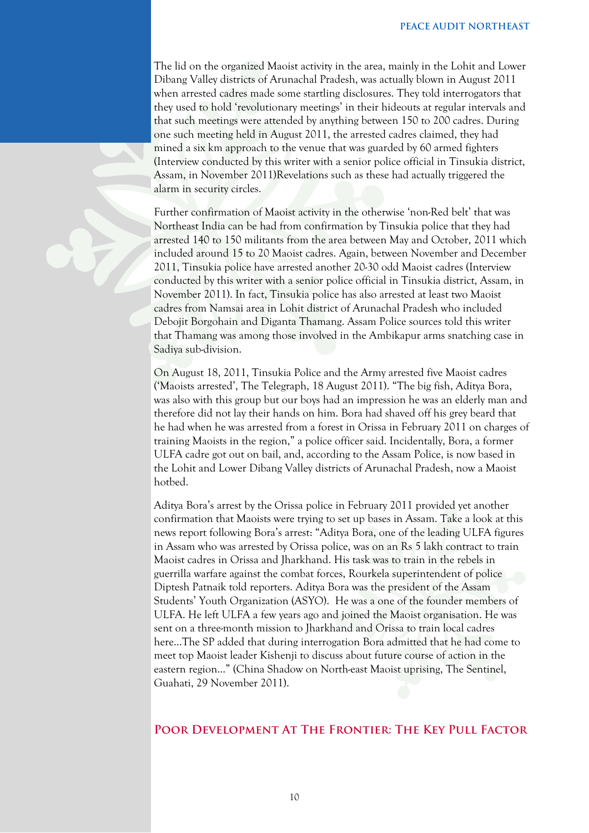The lid on the organized Maoist activity in the area, mainly in the Lohit and Lower Dibang Valley districts of Arunachal Pradesh, was actually blown in August 2011 when arrested cadres made some startling disclosures. They told interrogators that they used to hold 'revolutionary meetings' in their hideouts at regular intervals and that such meetings were attended by anything between 150 to 200 cadres. During one such meeting held in August 2011, the arrested cadres claimed, they had mined a six km approach to the venue that was guarded by 60 armed fighters (Interview conducted by this writer with a senior police official in Tinsukia district, Assam, in November 2011)Revelations such as these had actually triggered the alarm in security circles.

Further confirmation of Maoist activity in the otherwise 'non-Red belt' that was Northeast India can be had from confirmation by Tinsukia police that they had arrested 140 to 150 militants from the area between May and October, 2011 which included around 15 to 20 Maoist cadres. Again, between November and December 2011, Tinsukia police have arrested another 20-30 odd Maoist cadres (Interview conducted by this writer with a senior police official in Tinsukia district, Assam, in November 2011). In fact, Tinsukia police has also arrested at least two Maoist cadres from Namsai area in Lohit district of Arunachal Pradesh who included Debojit Borgohain and Diganta Thamang. Assam Police sources told this writer that Thamang was among those involved in the Ambikapur arms snatching case in Sadiya sub-division.

On August 18, 2011, Tinsukia Police and the Army arrested five Maoist cadres ('Maoists arrested', The Telegraph, 18 August 2011). "The big fish, Aditya Bora, was also with this group but our boys had an impression he was an elderly man and therefore did not lay their hands on him. Bora had shaved off his grey beard that he had when he was arrested from a forest in Orissa in February 2011 on charges of training Maoists in the region," a police officer said. Incidentally, Bora, a former ULFA cadre got out on bail, and, according to the Assam Police, is now based in the Lohit and Lower Dibang Valley districts of Arunachal Pradesh, now a Maoist hotbed.

Aditya Bora's arrest by the Orissa police in February 2011 provided yet another confirmation that Maoists were trying to set up bases in Assam. Take a look at this news report following Bora's arrest: "Aditya Bora, one of the leading ULFA figures in Assam who was arrested by Orissa police, was on an Rs 5 lakh contract to train Maoist cadres in Orissa and Jharkhand. His task was to train in the rebels in guerrilla warfare against the combat forces, Rourkela superintendent of police Diptesh Patnaik told reporters. Aditya Bora was the president of the Assam Students' Youth Organization (ASYO). He was a one of the founder members of ULFA. He left ULFA a few years ago and joined the Maoist organisation. He was sent on a three-month mission to Jharkhand and Orissa to train local cadres here…The SP added that during interrogation Bora admitted that he had come to meet top Maoist leader Kishenji to discuss about future course of action in the eastern region…" (China Shadow on North-east Maoist uprising, The Sentinel, Guahati, 29 November 2011).

### **Poor Development At The Frontier: The Key Pull Factor**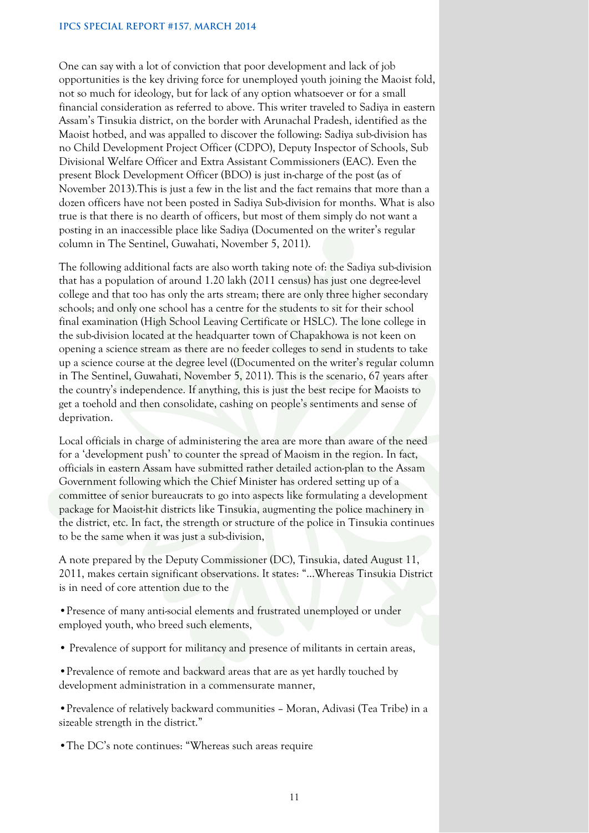#### **IPCS SPECIAL REPORT #157, MARCH 2014**

One can say with a lot of conviction that poor development and lack of job opportunities is the key driving force for unemployed youth joining the Maoist fold, not so much for ideology, but for lack of any option whatsoever or for a small financial consideration as referred to above. This writer traveled to Sadiya in eastern Assam's Tinsukia district, on the border with Arunachal Pradesh, identified as the Maoist hotbed, and was appalled to discover the following: Sadiya sub-division has no Child Development Project Officer (CDPO), Deputy Inspector of Schools, Sub Divisional Welfare Officer and Extra Assistant Commissioners (EAC). Even the present Block Development Officer (BDO) is just in-charge of the post (as of November 2013).This is just a few in the list and the fact remains that more than a dozen officers have not been posted in Sadiya Sub-division for months. What is also true is that there is no dearth of officers, but most of them simply do not want a posting in an inaccessible place like Sadiya (Documented on the writer's regular column in The Sentinel, Guwahati, November 5, 2011).

The following additional facts are also worth taking note of: the Sadiya sub-division that has a population of around 1.20 lakh (2011 census) has just one degree-level college and that too has only the arts stream; there are only three higher secondary schools; and only one school has a centre for the students to sit for their school final examination (High School Leaving Certificate or HSLC). The lone college in the sub-division located at the headquarter town of Chapakhowa is not keen on opening a science stream as there are no feeder colleges to send in students to take up a science course at the degree level ((Documented on the writer's regular column in The Sentinel, Guwahati, November 5, 2011). This is the scenario, 67 years after the country's independence. If anything, this is just the best recipe for Maoists to get a toehold and then consolidate, cashing on people's sentiments and sense of deprivation.

Local officials in charge of administering the area are more than aware of the need for a 'development push' to counter the spread of Maoism in the region. In fact, officials in eastern Assam have submitted rather detailed action-plan to the Assam Government following which the Chief Minister has ordered setting up of a committee of senior bureaucrats to go into aspects like formulating a development package for Maoist-hit districts like Tinsukia, augmenting the police machinery in the district, etc. In fact, the strength or structure of the police in Tinsukia continues to be the same when it was just a sub-division,

A note prepared by the Deputy Commissioner (DC), Tinsukia, dated August 11, 2011, makes certain significant observations. It states: "…Whereas Tinsukia District is in need of core attention due to the

•Presence of many anti-social elements and frustrated unemployed or under employed youth, who breed such elements,

- Prevalence of support for militancy and presence of militants in certain areas,
- •Prevalence of remote and backward areas that are as yet hardly touched by development administration in a commensurate manner,

•Prevalence of relatively backward communities – Moran, Adivasi (Tea Tribe) in a sizeable strength in the district."

•The DC's note continues: "Whereas such areas require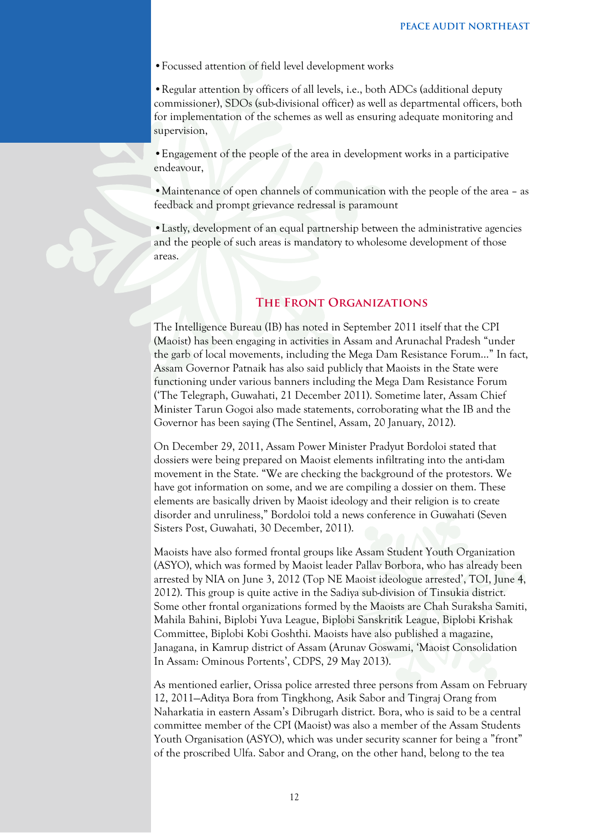•Focussed attention of field level development works

•Regular attention by officers of all levels, i.e., both ADCs (additional deputy commissioner), SDOs (sub-divisional officer) as well as departmental officers, both for implementation of the schemes as well as ensuring adequate monitoring and supervision,

•Engagement of the people of the area in development works in a participative endeavour,

• Maintenance of open channels of communication with the people of the area – as feedback and prompt grievance redressal is paramount

•Lastly, development of an equal partnership between the administrative agencies and the people of such areas is mandatory to wholesome development of those areas.

# **The Front Organizations**

The Intelligence Bureau (IB) has noted in September 2011 itself that the CPI (Maoist) has been engaging in activities in Assam and Arunachal Pradesh "under the garb of local movements, including the Mega Dam Resistance Forum…" In fact, Assam Governor Patnaik has also said publicly that Maoists in the State were functioning under various banners including the Mega Dam Resistance Forum ('The Telegraph, Guwahati, 21 December 2011). Sometime later, Assam Chief Minister Tarun Gogoi also made statements, corroborating what the IB and the Governor has been saying (The Sentinel, Assam, 20 January, 2012).

On December 29, 2011, Assam Power Minister Pradyut Bordoloi stated that dossiers were being prepared on Maoist elements infiltrating into the anti-dam movement in the State. "We are checking the background of the protestors. We have got information on some, and we are compiling a dossier on them. These elements are basically driven by Maoist ideology and their religion is to create disorder and unruliness," Bordoloi told a news conference in Guwahati (Seven Sisters Post, Guwahati, 30 December, 2011).

Maoists have also formed frontal groups like Assam Student Youth Organization (ASYO), which was formed by Maoist leader Pallav Borbora, who has already been arrested by NIA on June 3, 2012 (Top NE Maoist ideologue arrested', TOI, June 4, 2012). This group is quite active in the Sadiya sub-division of Tinsukia district. Some other frontal organizations formed by the Maoists are Chah Suraksha Samiti, Mahila Bahini, Biplobi Yuva League, Biplobi Sanskritik League, Biplobi Krishak Committee, Biplobi Kobi Goshthi. Maoists have also published a magazine, Janagana, in Kamrup district of Assam (Arunav Goswami, 'Maoist Consolidation In Assam: Ominous Portents', CDPS, 29 May 2013).

As mentioned earlier, Orissa police arrested three persons from Assam on February 12, 2011—Aditya Bora from Tingkhong, Asik Sabor and Tingraj Orang from Naharkatia in eastern Assam's Dibrugarh district. Bora, who is said to be a central committee member of the CPI (Maoist) was also a member of the Assam Students Youth Organisation (ASYO), which was under security scanner for being a "front" of the proscribed Ulfa. Sabor and Orang, on the other hand, belong to the tea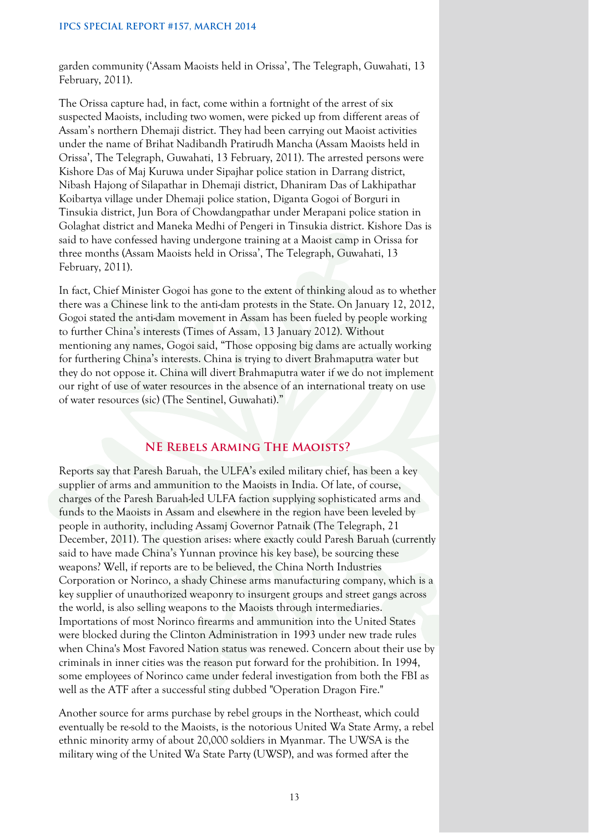garden community ('Assam Maoists held in Orissa', The Telegraph, Guwahati, 13 February, 2011).

The Orissa capture had, in fact, come within a fortnight of the arrest of six suspected Maoists, including two women, were picked up from different areas of Assam's northern Dhemaji district. They had been carrying out Maoist activities under the name of Brihat Nadibandh Pratirudh Mancha (Assam Maoists held in Orissa', The Telegraph, Guwahati, 13 February, 2011). The arrested persons were Kishore Das of Maj Kuruwa under Sipajhar police station in Darrang district, Nibash Hajong of Silapathar in Dhemaji district, Dhaniram Das of Lakhipathar Koibartya village under Dhemaji police station, Diganta Gogoi of Borguri in Tinsukia district, Jun Bora of Chowdangpathar under Merapani police station in Golaghat district and Maneka Medhi of Pengeri in Tinsukia district. Kishore Das is said to have confessed having undergone training at a Maoist camp in Orissa for three months (Assam Maoists held in Orissa', The Telegraph, Guwahati, 13 February, 2011).

In fact, Chief Minister Gogoi has gone to the extent of thinking aloud as to whether there was a Chinese link to the anti-dam protests in the State. On January 12, 2012, Gogoi stated the anti-dam movement in Assam has been fueled by people working to further China's interests (Times of Assam, 13 January 2012). Without mentioning any names, Gogoi said, "Those opposing big dams are actually working for furthering China's interests. China is trying to divert Brahmaputra water but they do not oppose it. China will divert Brahmaputra water if we do not implement our right of use of water resources in the absence of an international treaty on use of water resources (sic) (The Sentinel, Guwahati)."

# **NE Rebels Arming The Maoists?**

Reports say that Paresh Baruah, the ULFA's exiled military chief, has been a key supplier of arms and ammunition to the Maoists in India. Of late, of course, charges of the Paresh Baruah-led ULFA faction supplying sophisticated arms and funds to the Maoists in Assam and elsewhere in the region have been leveled by people in authority, including Assamj Governor Patnaik (The Telegraph, 21 December, 2011). The question arises: where exactly could Paresh Baruah (currently said to have made China's Yunnan province his key base), be sourcing these weapons? Well, if reports are to be believed, the China North Industries Corporation or Norinco, a shady Chinese arms manufacturing company, which is a key supplier of unauthorized weaponry to insurgent groups and street gangs across the world, is also selling weapons to the Maoists through intermediaries. Importations of most Norinco firearms and ammunition into the United States were blocked during the Clinton Administration in 1993 under new trade rules when China's Most Favored Nation status was renewed. Concern about their use by criminals in inner cities was the reason put forward for the prohibition. In 1994, some employees of Norinco came under federal investigation from both the FBI as well as the ATF after a successful sting dubbed "Operation Dragon Fire."

Another source for arms purchase by rebel groups in the Northeast, which could eventually be re-sold to the Maoists, is the notorious United Wa State Army, a rebel ethnic minority army of about 20,000 soldiers in Myanmar. The UWSA is the military wing of the United Wa State Party (UWSP), and was formed after the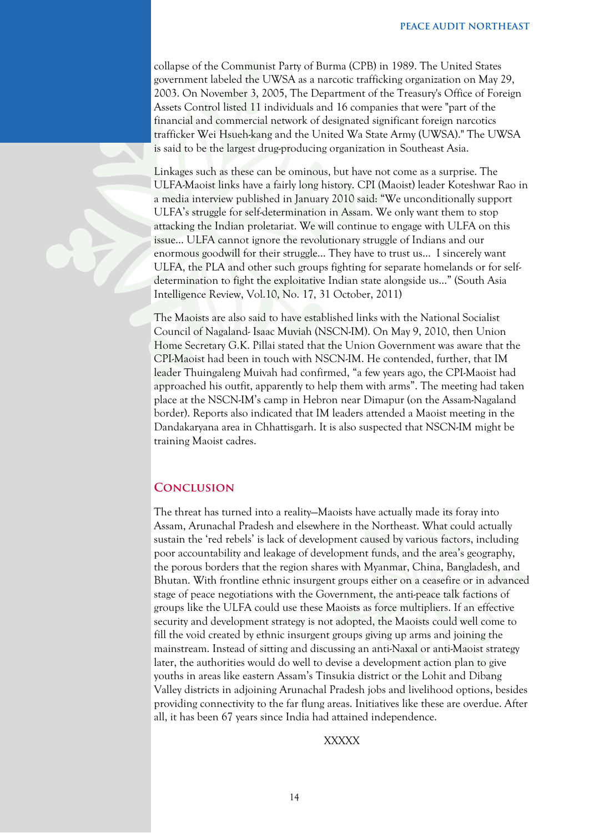collapse of the Communist Party of Burma (CPB) in 1989. The United States government labeled the UWSA as a narcotic trafficking organization on May 29, 2003. On November 3, 2005, The Department of the Treasury's Office of Foreign Assets Control listed 11 individuals and 16 companies that were "part of the financial and commercial network of designated significant foreign narcotics trafficker Wei Hsueh-kang and the United Wa State Army (UWSA)." The UWSA is said to be the largest drug-producing organization in Southeast Asia.

Linkages such as these can be ominous, but have not come as a surprise. The ULFA-Maoist links have a fairly long history. CPI (Maoist) leader Koteshwar Rao in a media interview published in January 2010 said: "We unconditionally support ULFA's struggle for self-determination in Assam. We only want them to stop attacking the Indian proletariat. We will continue to engage with ULFA on this issue… ULFA cannot ignore the revolutionary struggle of Indians and our enormous goodwill for their struggle… They have to trust us… I sincerely want ULFA, the PLA and other such groups fighting for separate homelands or for selfdetermination to fight the exploitative Indian state alongside us…" (South Asia Intelligence Review, Vol.10, No. 17, 31 October, 2011)

The Maoists are also said to have established links with the National Socialist Council of Nagaland- Isaac Muviah (NSCN-IM). On May 9, 2010, then Union Home Secretary G.K. Pillai stated that the Union Government was aware that the CPI-Maoist had been in touch with NSCN-IM. He contended, further, that IM leader Thuingaleng Muivah had confirmed, "a few years ago, the CPI-Maoist had approached his outfit, apparently to help them with arms". The meeting had taken place at the NSCN-IM's camp in Hebron near Dimapur (on the Assam-Nagaland border). Reports also indicated that IM leaders attended a Maoist meeting in the Dandakaryana area in Chhattisgarh. It is also suspected that NSCN-IM might be training Maoist cadres.

#### **Conclusion**

The threat has turned into a reality—Maoists have actually made its foray into Assam, Arunachal Pradesh and elsewhere in the Northeast. What could actually sustain the 'red rebels' is lack of development caused by various factors, including poor accountability and leakage of development funds, and the area's geography, the porous borders that the region shares with Myanmar, China, Bangladesh, and Bhutan. With frontline ethnic insurgent groups either on a ceasefire or in advanced stage of peace negotiations with the Government, the anti-peace talk factions of groups like the ULFA could use these Maoists as force multipliers. If an effective security and development strategy is not adopted, the Maoists could well come to fill the void created by ethnic insurgent groups giving up arms and joining the mainstream. Instead of sitting and discussing an anti-Naxal or anti-Maoist strategy later, the authorities would do well to devise a development action plan to give youths in areas like eastern Assam's Tinsukia district or the Lohit and Dibang Valley districts in adjoining Arunachal Pradesh jobs and livelihood options, besides providing connectivity to the far flung areas. Initiatives like these are overdue. After all, it has been 67 years since India had attained independence.

#### XXXXX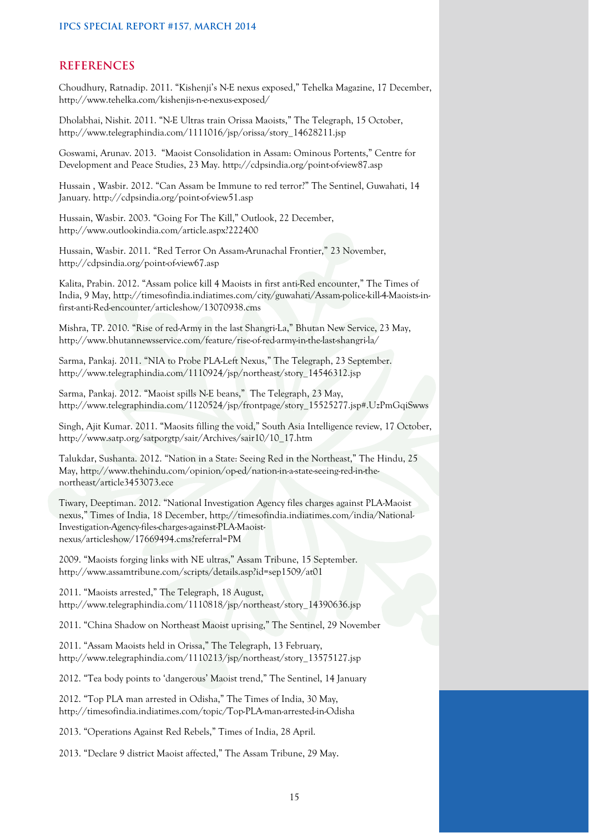#### **REFERENCES**

Choudhury, Ratnadip. 2011. "Kishenji's N-E nexus exposed," Tehelka Magazine, 17 December, http://www.tehelka.com/kishenjis-n-e-nexus-exposed/

Dholabhai, Nishit. 2011. "N-E Ultras train Orissa Maoists," The Telegraph, 15 October, http://www.telegraphindia.com/1111016/jsp/orissa/story\_14628211.jsp

Goswami, Arunav. 2013. "Maoist Consolidation in Assam: Ominous Portents," Centre for Development and Peace Studies, 23 May. http://cdpsindia.org/point-of-view87.asp

Hussain , Wasbir. 2012. "Can Assam be Immune to red terror?" The Sentinel, Guwahati, 14 January. http://cdpsindia.org/point-of-view51.asp

Hussain, Wasbir. 2003. "Going For The Kill," Outlook, 22 December, http://www.outlookindia.com/article.aspx?222400

Hussain, Wasbir. 2011. "Red Terror On Assam-Arunachal Frontier," 23 November, http://cdpsindia.org/point-of-view67.asp

Kalita, Prabin. 2012. "Assam police kill 4 Maoists in first anti-Red encounter," The Times of India, 9 May, http://timesofindia.indiatimes.com/city/guwahati/Assam-police-kill-4-Maoists-infirst-anti-Red-encounter/articleshow/13070938.cms

Mishra, TP. 2010. "Rise of red-Army in the last Shangri-La," Bhutan New Service, 23 May, http://www.bhutannewsservice.com/feature/rise-of-red-army-in-the-last-shangri-la/

Sarma, Pankaj. 2011. "NIA to Probe PLA-Left Nexus," The Telegraph, 23 September. http://www.telegraphindia.com/1110924/jsp/northeast/story\_14546312.jsp

Sarma, Pankaj. 2012. "Maoist spills N-E beans," The Telegraph, 23 May, http://www.telegraphindia.com/1120524/jsp/frontpage/story\_15525277.jsp#.UzPmGqiSwws

Singh, Ajit Kumar. 2011. "Maosits filling the void," South Asia Intelligence review, 17 October, http://www.satp.org/satporgtp/sair/Archives/sair10/10\_17.htm

Talukdar, Sushanta. 2012. "Nation in a State: Seeing Red in the Northeast," The Hindu, 25 May, http://www.thehindu.com/opinion/op-ed/nation-in-a-state-seeing-red-in-thenortheast/article3453073.ece

Tiwary, Deeptiman. 2012. "National Investigation Agency files charges against PLA-Maoist nexus," Times of India, 18 December, http://timesofindia.indiatimes.com/india/National-Investigation-Agency-files-charges-against-PLA-Maoistnexus/articleshow/17669494.cms?referral=PM

2009. "Maoists forging links with NE ultras," Assam Tribune, 15 September. http://www.assamtribune.com/scripts/details.asp?id=sep1509/at01

2011. "Maoists arrested," The Telegraph, 18 August, http://www.telegraphindia.com/1110818/jsp/northeast/story\_14390636.jsp

2011. "China Shadow on Northeast Maoist uprising," The Sentinel, 29 November

2011. "Assam Maoists held in Orissa," The Telegraph, 13 February, http://www.telegraphindia.com/1110213/jsp/northeast/story\_13575127.jsp

2012. "Tea body points to 'dangerous' Maoist trend," The Sentinel, 14 January

2012. "Top PLA man arrested in Odisha," The Times of India, 30 May, http://timesofindia.indiatimes.com/topic/Top-PLA-man-arrested-in-Odisha

2013. "Operations Against Red Rebels," Times of India, 28 April.

2013. "Declare 9 district Maoist affected," The Assam Tribune, 29 May.